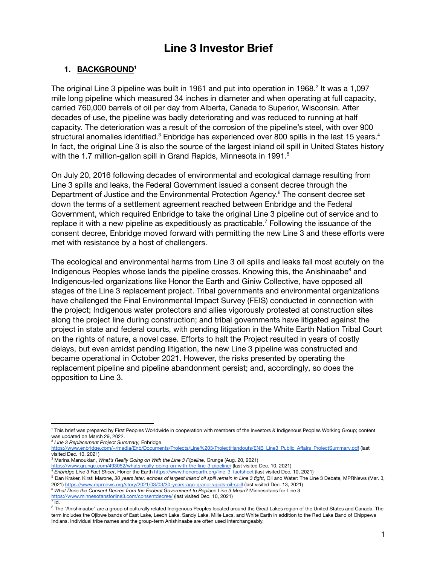# **Line 3 Investor Brief**

# **1. BACKGROUND 1**

The original Line 3 pipeline was built in 1961 and put into operation in 1968.<sup>2</sup> It was a 1,097 mile long pipeline which measured 34 inches in diameter and when operating at full capacity, carried 760,000 barrels of oil per day from Alberta, Canada to Superior, Wisconsin. After decades of use, the pipeline was badly deteriorating and was reduced to running at half capacity. The deterioration was a result of the corrosion of the pipeline's steel, with over 900 structural anomalies identified.<sup>3</sup> Enbridge has experienced over 800 spills in the last 15 years.<sup>4</sup> In fact, the original Line 3 is also the source of the largest inland oil spill in United States history with the 1.7 million-gallon spill in Grand Rapids, Minnesota in 1991.<sup>5</sup>

On July 20, 2016 following decades of environmental and ecological damage resulting from Line 3 spills and leaks, the Federal Government issued a consent decree through the Department of Justice and the Environmental Protection Agency.<sup>6</sup> The consent decree set down the terms of a settlement agreement reached between Enbridge and the Federal Government, which required Enbridge to take the original Line 3 pipeline out of service and to replace it with a new pipeline as expeditiously as practicable.<sup>7</sup> Following the issuance of the consent decree, Enbridge moved forward with permitting the new Line 3 and these efforts were met with resistance by a host of challengers.

The ecological and environmental harms from Line 3 oil spills and leaks fall most acutely on the Indigenous Peoples whose lands the pipeline crosses. Knowing this, the Anishinaabe<sup>8</sup> and Indigenous-led organizations like Honor the Earth and Giniw Collective, have opposed all stages of the Line 3 replacement project. Tribal governments and environmental organizations have challenged the Final Environmental Impact Survey (FEIS) conducted in connection with the project; Indigenous water protectors and allies vigorously protested at construction sites along the project line during construction; and tribal governments have litigated against the project in state and federal courts, with pending litigation in the White Earth Nation Tribal Court on the rights of nature, a novel case. Efforts to halt the Project resulted in years of costly delays, but even amidst pending litigation, the new Line 3 pipeline was constructed and became operational in October 2021. However, the risks presented by operating the replacement pipeline and pipeline abandonment persist; and, accordingly, so does the opposition to Line 3.

<sup>3</sup> Marina Manoukian, *What's Really Going on With the Line 3 Pipeline,* Grunge (Aug. 20, 2021) <https://www.grunge.com/493052/whats-really-going-on-with-the-line-3-pipeline/> (last visited Dec. 10, 2021)

 $^7$  Id.

<sup>1</sup> This brief was prepared by First Peoples Worldwide in cooperation with members of the Investors & Indigenous Peoples Working Group; content was updated on March 29, 2022.

<sup>2</sup> *Line 3 Replacement Project Summary,* Enbridge

[https://www.enbridge.com/~/media/Enb/Documents/Projects/Line%203/ProjectHandouts/ENB\\_Line3\\_Public\\_Affairs\\_ProjectSummary.pdf](https://www.enbridge.com/~/media/Enb/Documents/Projects/Line%203/ProjectHandouts/ENB_Line3_Public_Affairs_ProjectSummary.pdf) (last visited Dec. 10, 2021)

*<sup>4</sup> Enbridge Line 3 Fact Sheet*, Honor the Earth [https://www.honorearth.org/line\\_3\\_factsheet](https://www.honorearth.org/line_3_factsheet) (last visited Dec. 10, 2021)

<sup>&</sup>lt;sup>5</sup> Dan Kraker, Kirsti Marone, 30 years later, echoes of largest inland oil spill remain in Line 3 fight, Oil and Water: The Line 3 Debate, MPRNews (Mar. 3, 2021) <https://www.mprnews.org/story/2021/03/03/30-years-ago-grand-rapids-oil-spill> (last visited Dec. 13, 2021)

*<sup>6</sup> What Does the Consent Decree from the Federal Government to Replace Line 3 Mean?* Minnesotans for Line 3

<https://www.minnesotansforline3.com/consentdecree/> (last visited Dec. 10, 2021)

<sup>&</sup>lt;sup>8</sup> The "Anishinaabe" are a group of culturally related Indigenous Peoples located around the Great Lakes region of the United States and Canada. The term includes the Ojibwe bands of East Lake, Leech Lake, Sandy Lake, Mille Lacs, and White Earth in addition to the Red Lake Band of Chippewa Indians. Individual tribe names and the group-term Anishinaabe are often used interchangeably.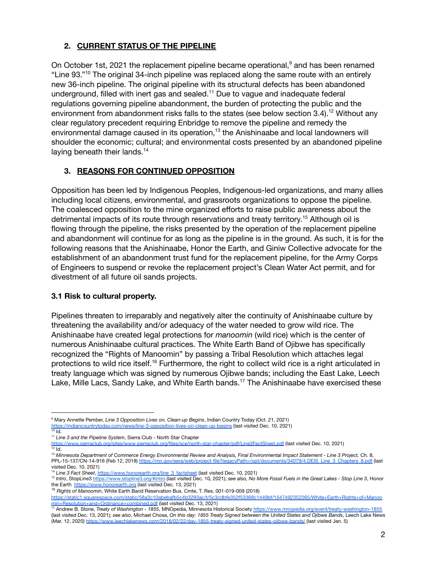# **2. CURRENT STATUS OF THE PIPELINE**

On October 1st, 2021 the replacement pipeline became operational, $9$  and has been renamed "Line 93."<sup>10</sup> The original 34-inch pipeline was replaced along the same route with an entirely new 36-inch pipeline. The original pipeline with its structural defects has been abandoned underground, filled with inert gas and sealed. $^{11}$  Due to vague and inadequate federal regulations governing pipeline abandonment, the burden of protecting the public and the environment from abandonment risks falls to the states (see below section 3.4).<sup>12</sup> Without any clear regulatory precedent requiring Enbridge to remove the pipeline and remedy the environmental damage caused in its operation, $^{13}$  the Anishinaabe and local landowners will shoulder the economic; cultural; and environmental costs presented by an abandoned pipeline laying beneath their lands.<sup>14</sup>

# **3. REASONS FOR CONTINUED OPPOSITION**

Opposition has been led by Indigenous Peoples, Indigenous-led organizations, and many allies including local citizens, environmental, and grassroots organizations to oppose the pipeline. The coalesced opposition to the mine organized efforts to raise public awareness about the detrimental impacts of its route through reservations and treaty territory.<sup>15</sup> Although oil is flowing through the pipeline, the risks presented by the operation of the replacement pipeline and abandonment will continue for as long as the pipeline is in the ground. As such, it is for the following reasons that the Anishinaabe, Honor the Earth, and Giniw Collective advocate for the establishment of an abandonment trust fund for the replacement pipeline, for the Army Corps of Engineers to suspend or revoke the replacement project's Clean Water Act permit, and for divestment of all future oil sands projects.

#### **3.1 Risk to cultural property.**

Pipelines threaten to irreparably and negatively alter the continuity of Anishinaabe culture by threatening the availability and/or adequacy of the water needed to grow wild rice. The Anishinaabe have created legal protections for *manoomin* (wild rice) which is the center of numerous Anishinaabe cultural practices. The White Earth Band of Ojibwe has specifically recognized the "Rights of Manoomin" by passing a Tribal Resolution which attaches legal protections to wild rice itself.<sup>16</sup> Furthermore, the right to collect wild rice is a right articulated in treaty language which was signed by numerous Ojibwe bands; including the East Lake, Leech Lake, Mille Lacs, Sandy Lake, and White Earth bands.<sup>17</sup> The Anishinaabe have exercised these

 $10$  Id. <sup>9</sup> Mary Annette Pember, *Line 3 Opposition Lives on, Clean-up Begins*, Indian Country Today (Oct. 21, 2021) <https://indiancountrytoday.com/news/line-3-opposition-lives-on-clean-up-begins> (last visited Dec. 10, 2021)

*<sup>11</sup> Line 3 and the Pipeline System*, Sierra Club - North Star Chapter

 $12$  Id. <https://www.sierraclub.org/sites/www.sierraclub.org/files/sce/north-star-chapter/pdf/Line3FactSheet.pdf> (last visited Dec. 10, 2021)

<sup>&</sup>lt;sup>13</sup> Minnesota Department of Commerce Energy Environmental Review and Analysis, Final Environmental Impact Statement - Line 3 Project, Ch. 8, PPL-15-137/CN-14-916 (Feb 12, 2018) [https://mn.gov/eera/web/project-file?legacyPath=/opt/documents/34079/4.DEIS\\_Line\\_3\\_Chapters\\_8.pdf](https://mn.gov/eera/web/project-file?legacyPath=/opt/documents/34079/4.DEIS_Line_3_Chapters_8.pdf) (last visited Dec. 10, 2021)

<sup>14</sup> *Line 3 Fact Sheet*, [https://www.honorearth.org/line\\_3\\_factsheet](https://www.honorearth.org/line_3_factsheet) (last visited Dec. 10, 2021)

<sup>&</sup>lt;sup>15</sup> Intro, StopLine3 <https://www.stopline3.org/#intro> (last visited Dec. 10, 2021); see also, No More Fossil Fuels in the Great Lakes - Stop Line 3, Honor the Earth <https://www.honorearth.org> (last visited Dec. 13, 2021)

<sup>16</sup> *Rights of Manoomin*, White Earth Band Reservation Bus. Cmte, T. Res. 001-019-009 (2018)

<sup>&</sup>lt;u>[min+Resolution+and+Ordinance+combined.pdf](https://static1.squarespace.com/static/58a3c10abebafb5c4b3293ac/t/5c3cdbfe352f53368c1449bf/1547492352265/White+Earth+Rights+of+Manoomin+Resolution+and+Ordinance+combined.pdf)</u> (last visited Dec. 13, 2021)<br><sup>17</sup> Andrew B. Stone, *Treaty of Washington - 1855*, MNOpedia, Minnesota Historical Society <u><https://www.mnopedia.org/event/treaty-washington-1855></u> [https://static1.squarespace.com/static/58a3c10abebafb5c4b3293ac/t/5c3cdbfe352f53368c1449bf/1547492352265/White+Earth+Rights+of+Manoo](https://static1.squarespace.com/static/58a3c10abebafb5c4b3293ac/t/5c3cdbfe352f53368c1449bf/1547492352265/White+Earth+Rights+of+Manoomin+Resolution+and+Ordinance+combined.pdf)

<sup>(</sup>last visited Dec. 13, 2021); see also, Michael Chosa, On this day: 1855 Treaty Signed between the United States and Ojibwe Bands, Leech Lake News (Mar. 12, 2020) <https://www.leechlakenews.com/2018/02/22/day-1855-treaty-signed-united-states-ojibwe-bands/> (last visited Jan. 5)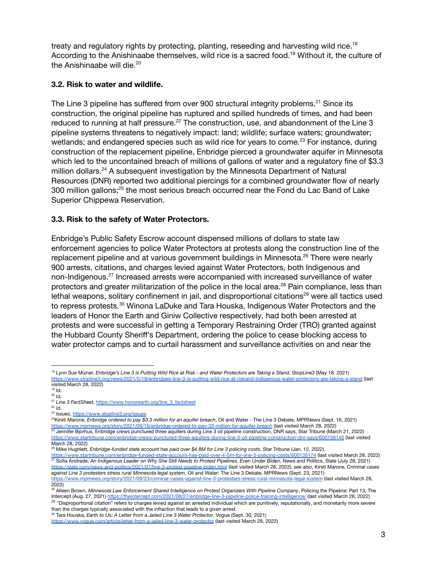treaty and regulatory rights by protecting, planting, reseeding and harvesting wild rice.<sup>18</sup> According to the Anishinaabe themselves, wild rice is a sacred food.<sup>19</sup> Without it, the culture of the Anishinaabe will die. 20

#### **3.2. Risk to water and wildlife.**

The Line 3 pipeline has suffered from over 900 structural integrity problems.<sup>21</sup> Since its construction, the original pipeline has ruptured and spilled hundreds of times, and had been reduced to running at half pressure. $^{22}$  The construction, use, and abandonment of the Line 3 pipeline systems threatens to negatively impact: land; wildlife; surface waters; groundwater; wetlands; and endangered species such as wild rice for years to come. $^{23}$  For instance, during construction of the replacement pipeline, Enbridge pierced a groundwater aquifer in Minnesota which led to the uncontained breach of millions of gallons of water and a regulatory fine of \$3.3 million dollars.<sup>24</sup> A subsequent investigation by the Minnesota Department of Natural Resources (DNR) reported two additional piercings for a combined groundwater flow of nearly 300 million gallons; $^{25}$  the most serious breach occurred near the Fond du Lac Band of Lake Superior Chippewa Reservation.

#### **3.3. Risk to the safety of Water Protectors.**

Enbridge's Public Safety Escrow account dispensed millions of dollars to state law enforcement agencies to police Water Protectors at protests along the construction line of the replacement pipeline and at various government buildings in Minnesota.<sup>26</sup> There were nearly 900 arrests, citations, and charges levied against Water Protectors, both Indigenous and non-Indigenous. $^{27}$  Increased arrests were accompanied with increased surveillance of water protectors and greater militarization of the police in the local area.<sup>28</sup> Pain compliance, less than lethal weapons, solitary confinement in jail, and disproportional citations<sup>29</sup> were all tactics used to repress protests.<sup>30</sup> Winona LaDuke and Tara Houska, Indigenous Water Protectors and the leaders of Honor the Earth and Giniw Collective respectively, had both been arrested at protests and were successful in getting a Temporary Restraining Order (TRO) granted against the Hubbard County Sheriff's Department, ordering the police to cease blocking access to water protector camps and to curtail harassment and surveillance activities on and near the

<u><https://www.mprnews.org/story/2021/09/16/enbridge-ordered-to-pay-33-million-for-aquifer-breach></u> (last visited March 28, 2022)<br><sup>25</sup> Jennifer Bjorhus, Enbridge crews punctured three aquifers during Line 3 oil pipeline const <sup>24</sup>Kirsti Marone, *Enbridge ordered to pay \$3.3 million for an aquifer breach*, Oil and Water - The Line 3 Debate, MPRNews (Sept. 16, 2021)

<https://www.startribune.com/enbridge-crews-punctured-three-aquifers-during-line-3-oil-pipeline-construction-dnr-says/600158140> (last visited March 28, 2022)

<sup>&</sup>lt;sup>18</sup> Lynn Sue Mizner, Enbridge's Line 3 is Putting Wild Rice at Risk - and Water Protectors are Taking a Stand, StopLine3 (May 18, 2021) <https://www.stopline3.org/news/2021/5/19/enbridges-line-3-is-putting-wild-rice-at-riskand-indigenous-water-protectors-are-taking-a-stand> (last visited March 28, 2022)

<sup>&</sup>lt;sup>19</sup> ld.

 $^{20}$  Id.

<sup>21</sup> *Line 3 FactSheet,* [https://www.honorearth.org/line\\_3\\_factsheet](https://www.honorearth.org/line_3_factsheet)

 $^{22}$  Id.

<sup>23</sup> *Issues*, <https://www.stopline3.org/issues>

<sup>26</sup> Mike Hughlett, *Enbridge-funded state account has paid over \$4.8M for Line 3 policing costs*, Star Tribune (Jan. 12, 2022)

<sup>&</sup>lt;u><https://www.startribune.com/enbridge-funded-state-account-has-paid-over-4-5m-for-line-3-policing-costs/600135174></u> (last visited March 28, 2022)<br><sup>27</sup> Sofia Andrade, *An Indigenous Leader on Why She Still Needs to Protest P* <https://slate.com/news-and-politics/2021/07/line-3-protest-pipeline-biden.html> (last visited March 28, 2022); *see also*, Kirsti Marone, *Criminal cases against Line 3 protesters stress rural Minnesota legal system*, Oil and Water: The Line 3 Debate, MPRNews (Sept. 23, 2021) <https://www.mprnews.org/story/2021/09/23/criminal-cases-against-line-3-protesters-stress-rural-minnesota-legal-system> (last visited March 28, 2022)

<sup>&</sup>lt;sup>29</sup> "Disproportional citation" refers to charges levied against an arrested individual which are punitively, reputationally, and monetarily more severe than the charges typically associated with the infraction that leads to a given arrest. <sup>28</sup> Alleen Brown, *Minnesota Law Enforcement Shared Intelligence on Protest Organizers With Pipeline Company*, Policing the Pipeline: Part 13, The Intercept (Aug. 27, 2021) <https://theintercept.com/2021/08/27/enbridge-line-3-pipeline-police-training-intelligence/> (last visited March 28, 2022)

<sup>30</sup> Tara Houska, *Earth to Us: A Letter from a Jailed Line 3 Water Protector*, Vogue (Sept. 30, 2021) <https://www.vogue.com/article/letter-from-a-jailed-line-3-water-protector> (last visited March 28, 2022)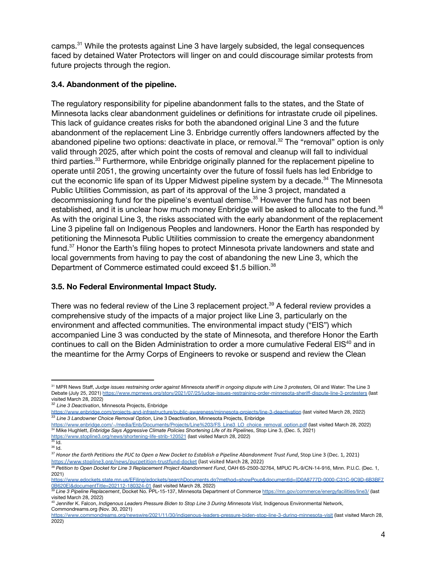camps.<sup>31</sup> While the protests against Line 3 have largely subsided, the legal consequences faced by detained Water Protectors will linger on and could discourage similar protests from future projects through the region.

## **3.4. Abandonment of the pipeline.**

The regulatory responsibility for pipeline abandonment falls to the states, and the State of Minnesota lacks clear abandonment guidelines or definitions for intrastate crude oil pipelines. This lack of guidance creates risks for both the abandoned original Line 3 and the future abandonment of the replacement Line 3. Enbridge currently offers landowners affected by the abandoned pipeline two options: deactivate in place, or removal. $^{32}$  The "removal" option is only valid through 2025, after which point the costs of removal and cleanup will fall to individual third parties.<sup>33</sup> Furthermore, while Enbridge originally planned for the replacement pipeline to operate until 2051, the growing uncertainty over the future of fossil fuels has led Enbridge to cut the economic life span of its Upper Midwest pipeline system by a decade.<sup>34</sup> The Minnesota Public Utilities Commission, as part of its approval of the Line 3 project, mandated a decommissioning fund for the pipeline's eventual demise.<sup>35</sup> However the fund has not been established, and it is unclear how much money Enbridge will be asked to allocate to the fund. $36$ As with the original Line 3, the risks associated with the early abandonment of the replacement Line 3 pipeline fall on Indigenous Peoples and landowners. Honor the Earth has responded by petitioning the Minnesota Public Utilities commission to create the emergency abandonment fund. $37$  Honor the Earth's filing hopes to protect Minnesota private landowners and state and local governments from having to pay the cost of abandoning the new Line 3, which the Department of Commerce estimated could exceed \$1.5 billion.<sup>38</sup>

## **3.5. No Federal Environmental Impact Study.**

There was no federal review of the Line 3 replacement project. $^{39}$  A federal review provides a comprehensive study of the impacts of a major project like Line 3, particularly on the environment and affected communities. The environmental impact study ("EIS") which accompanied Line 3 was conducted by the state of Minnesota, and therefore Honor the Earth continues to call on the Biden Administration to order a more cumulative Federal EIS<sup>40</sup> and in the meantime for the Army Corps of Engineers to revoke or suspend and review the Clean

<sup>31</sup> MPR News Staff, Judge issues restraining order against Minnesota sheriff in ongoing dispute with Line 3 protesters, Oil and Water: The Line 3 Debate (July 25, 2021) <https://www.mprnews.org/story/2021/07/25/judge-issues-restraining-order-minnesota-sheriff-dispute-line-3-protesters> (last visited March 28, 2022)

<sup>32</sup> *Line 3 Deactivation*, Minnesota Projects, Enbridge

<sup>&</sup>lt;u><https://www.enbridge.com/projects-and-infrastructure/public-awareness/minnesota-projects/line-3-deactivation></u> (last visited March 28, 2022)<br><sup>33</sup> Line 3 Landowner Choice Removal Option, Line 3 Deactivation, Minnesota Proje

<sup>&</sup>lt;u>[https://www.enbridge.com/~/media/Enb/Documents/Projects/Line%203/FS\\_Line3\\_LO\\_choice\\_removal\\_option.pdf](https://www.enbridge.com/~/media/Enb/Documents/Projects/Line%203/FS_Line3_LO_choice_removal_option.pdf)</u> (last visited March 28, 2022)<br><sup>34</sup> Mike Hughlett, *Enbridge Says Aggressive Climate Policies Shortening Life of its P* 

<https://www.stopline3.org/news/shortening-life-strib-120521> (last visited March 28, 2022)

<sup>36</sup> Id.  $35$  ld.

<sup>&</sup>lt;sup>37</sup> Honor the Earth Petitions the PUC to Open a New Docket to Establish a Pipeline Abandonment Trust Fund, Stop Line 3 (Dec. 1, 2021) <https://www.stopline3.org/news/pucpetition-trustfund-docket> (last visited March 28, 2022)

<sup>38</sup> *Petition to Open Docket for Line 3 Replacement Project Abandonment Fund*, OAH 65-2500-32764, MPUC PL-9/CN-14-916, Minn. P.U.C. (Dec. 1, 2021)

[https://www.edockets.state.mn.us/EFiling/edockets/searchDocuments.do?method=showPoup&documentId={D0A8777D-0000-C31C-9C9D-6B3BF7](https://www.edockets.state.mn.us/EFiling/edockets/searchDocuments.do?method=showPoup&documentId=%7BD0A8777D-0000-C31C-9C9D-6B3BF70B620E%7D&documentTitle=202112-180324-01) [0B620E}&documentTitle=202112-180324-01](https://www.edockets.state.mn.us/EFiling/edockets/searchDocuments.do?method=showPoup&documentId=%7BD0A8777D-0000-C31C-9C9D-6B3BF70B620E%7D&documentTitle=202112-180324-01) (last visited March 28, 2022)

<sup>39</sup> *Line 3 Pipeline Replacement*, Docket No. PPL-15-137, Minnesota Department of Commerce <https://mn.gov/commerce/energyfacilities/line3/> (last visited March 28, 2022)

<sup>40</sup> Jennifer K. Falcon, *Indigenous Leaders Pressure Biden to Stop Line 3 During Minnesota Visit,* Indigenous Environmental Network, Commondreams.org (Nov. 30, 2021)

<https://www.commondreams.org/newswire/2021/11/30/indigenous-leaders-pressure-biden-stop-line-3-during-minnesota-visit> (last visited March 28, 2022)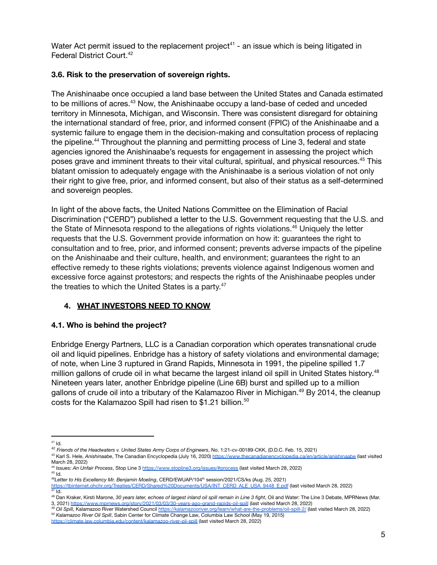Water Act permit issued to the replacement project<sup>41</sup> - an issue which is being litigated in Federal District Court. 42

## **3.6. Risk to the preservation of sovereign rights.**

The Anishinaabe once occupied a land base between the United States and Canada estimated to be millions of acres. $^{43}$  Now, the Anishinaabe occupy a land-base of ceded and unceded territory in Minnesota, Michigan, and Wisconsin. There was consistent disregard for obtaining the international standard of free, prior, and informed consent (FPIC) of the Anishinaabe and a systemic failure to engage them in the decision-making and consultation process of replacing the pipeline.<sup>44</sup> Throughout the planning and permitting process of Line 3, federal and state agencies ignored the Anishinaabe's requests for engagement in assessing the project which poses grave and imminent threats to their vital cultural, spiritual, and physical resources.<sup>45</sup> This blatant omission to adequately engage with the Anishinaabe is a serious violation of not only their right to give free, prior, and informed consent, but also of their status as a self-determined and sovereign peoples.

In light of the above facts, the United Nations Committee on the Elimination of Racial Discrimination ("CERD") published a letter to the U.S. Government requesting that the U.S. and the State of Minnesota respond to the allegations of rights violations.<sup>46</sup> Uniquely the letter requests that the U.S. Government provide information on how it: guarantees the right to consultation and to free, prior, and informed consent; prevents adverse impacts of the pipeline on the Anishinaabe and their culture, health, and environment; guarantees the right to an effective remedy to these rights violations; prevents violence against Indigenous women and excessive force against protestors; and respects the rights of the Anishinaabe peoples under the treaties to which the United States is a party.<sup>47</sup>

# **4. WHAT INVESTORS NEED TO KNOW**

# **4.1. Who is behind the project?**

Enbridge Energy Partners, LLC is a Canadian corporation which operates transnational crude oil and liquid pipelines. Enbridge has a history of safety violations and environmental damage; of note, when Line 3 ruptured in Grand Rapids, Minnesota in 1991, the pipeline spilled 1.7 million gallons of crude oil in what became the largest inland oil spill in United States history.<sup>48</sup> Nineteen years later, another Enbridge pipeline (Line 6B) burst and spilled up to a million gallons of crude oil into a tributary of the Kalamazoo River in Michigan.<sup>49</sup> By 2014, the cleanup costs for the Kalamazoo Spill had risen to \$1.21 billion. 50

<sup>41</sup> Id.

<sup>42</sup> *Friends of the Headwaters v. United States Army Corps of Engineers*, No. 1:21-cv-00189-CKK, (D.D.C. Feb. 15, 2021)

<sup>43</sup> Karl S. Hele, *Anishinaabe*, The Canadian Encyclopedia (July 16, 2020) <https://www.thecanadianencyclopedia.ca/en/article/anishinaabe> (last visited March 28, 2022)

<sup>45</sup> Id. 44 *Issues: An Unfair Process*, Stop Line 3 <https://www.stopline3.org/issues/#process> (last visited March 28, 2022)

*<sup>46</sup>Letter to His Excellency Mr. Benjamin Moeling*, CERD/EWUAP/104 th session/2021/CS/ks (Aug. 25, 2021)

<sup>47</sup> Id. [https://tbinternet.ohchr.org/Treaties/CERD/Shared%20Documents/USA/INT\\_CERD\\_ALE\\_USA\\_9448\\_E.pdf](https://tbinternet.ohchr.org/Treaties/CERD/Shared%20Documents/USA/INT_CERD_ALE_USA_9448_E.pdf) (last visited March 28, 2022)

<sup>48</sup> Dan Kraker, Kirsti Marone, 30 years later, echoes of largest inland oil spill remain in Line 3 fight, Oil and Water: The Line 3 Debate, MPRNews (Mar. 3, 2021) <https://www.mprnews.org/story/2021/03/03/30-years-ago-grand-rapids-oil-spill> (last visited March 28, 2022)

*<sup>50</sup> Kalamazoo River Oil Spill*, Sabin Center for Climate Change Law, Columbia Law School (May 19, 2015) <sup>49</sup> *Oil Spill,* Kalamazoo River Watershed Council <https://kalamazooriver.org/learn/what-are-the-problems/oil-spill-2/> (last visited March 28, 2022)

<https://climate.law.columbia.edu/content/kalamazoo-river-oil-spill> (last visited March 28, 2022)